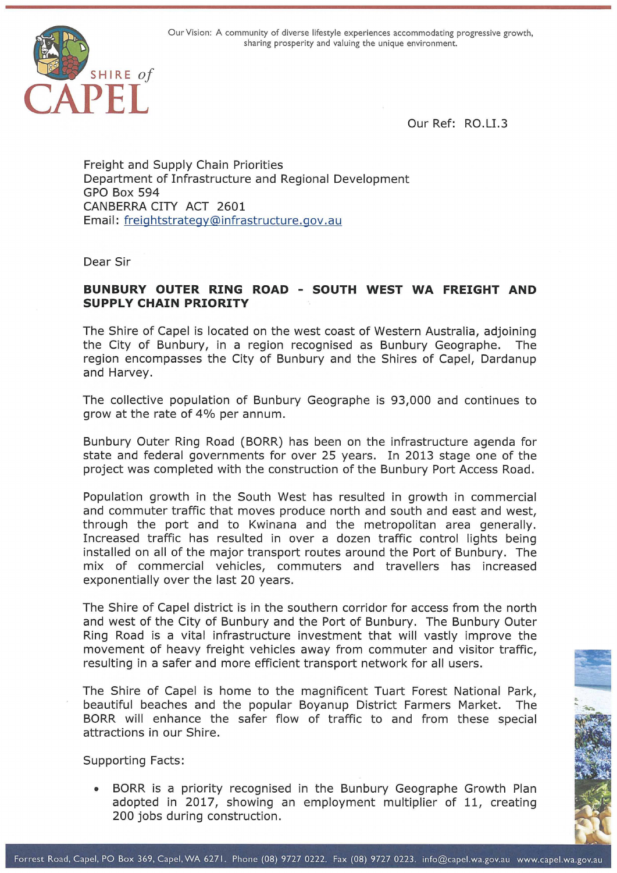

Our Ref: RO.LI.3

Freight and Supply Chain Priorities Department of Infrastructure and Regional Development GPO Box 594 CANBERRA CITY ACT 2601 Email: freightstrategy@infrastructure.gov .au

Dear Sir

## **SUNBURY OUTER RING ROAD - SOUTH WEST WA FREIGHT AND SUPPLY CHAIN PRIORITY**

The Shire of Capel is located on the west coast of Western Australia, adjoining the City of Bunbury, in a region recognised as Bunbury Geographe. The region encompasses the City of Bunbury and the Shires of Capel, Dardanup and Harvey.

The collective population of Bunbury Geographe is 93,000 and continues to grow at the rate of 4% per annum.

Bunbury Outer Ring Road (BORR) has been on the infrastructure agenda for state and federal governments for over 25 years. In 2013 stage one of the project was completed with the construction of the Bunbury Port Access Road.

Population growth in the South West has resulted in growth in commercial and commuter traffic that moves produce north and south and east and west, through the port and to Kwinana and the metropolitan area generally. Increased traffic has resulted in over a dozen traffic control lights being installed on all of the major transport routes around the Port of Bunbury. The mix of commercial vehicles, commuters and travellers has increased exponentially over the last 20 years.

The Shire of Capel district is in the southern corridor for access from the north and west of the City of Bunbury and the Port of Bunbury. The Bunbury Outer Ring Road is a vital infrastructure investment that will vastly improve the movement of heavy freight vehicles away from commuter and visitor traffic, resulting in a safer and more efficient transport network for all users.

The Shire of Capel is home to the magnificent Tuart Forest National Park, beautiful beaches and the popular Boyanup District Farmers Market. The BORR will enhance the safer flow of traffic to and from these special attractions in our Shire.

Supporting Facts:

• BORR is a priority recognised in the Bunbury Geographe Growth Plan adopted in 2017, showing an employment multiplier of 11, creating 200 jobs during construction.